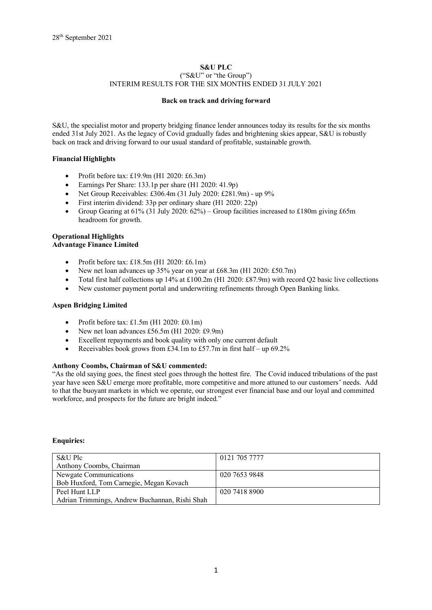# **S&U PLC** ("S&U" or "the Group") INTERIM RESULTS FOR THE SIX MONTHS ENDED 31 JULY 2021

# **Back on track and driving forward**

S&U, the specialist motor and property bridging finance lender announces today its results for the six months ended 31st July 2021. As the legacy of Covid gradually fades and brightening skies appear, S&U is robustly back on track and driving forward to our usual standard of profitable, sustainable growth.

# **Financial Highlights**

- Profit before tax: £19.9m (H1 2020: £6.3m)
- Earnings Per Share: 133.1p per share (H1 2020: 41.9p)
- Net Group Receivables: £306.4m (31 July 2020: £281.9m) up 9%
- First interim dividend: 33p per ordinary share (H1 2020: 22p)
- Group Gearing at  $61\%$  (31 July 2020:  $62\%$ ) Group facilities increased to £180m giving £65m headroom for growth.

# **Operational Highlights Advantage Finance Limited**

- Profit before tax: £18.5m (H1 2020: £6.1m)
- New net loan advances up 35% year on year at £68.3m (H1 2020: £50.7m)
- Total first half collections up 14% at £100.2m (H1 2020: £87.9m) with record Q2 basic live collections
- New customer payment portal and underwriting refinements through Open Banking links.

# **Aspen Bridging Limited**

- Profit before tax:  $£1.5m (H1 2020: £0.1m)$
- New net loan advances £56.5m (H1 2020: £9.9m)
- Excellent repayments and book quality with only one current default
- Receivables book grows from £34.1m to £57.7m in first half up  $69.2\%$

# **Anthony Coombs, Chairman of S&U commented:**

"As the old saying goes, the finest steel goes through the hottest fire. The Covid induced tribulations of the past year have seen S&U emerge more profitable, more competitive and more attuned to our customers' needs. Add to that the buoyant markets in which we operate, our strongest ever financial base and our loyal and committed workforce, and prospects for the future are bright indeed."

#### **Enquiries:**

| S&U Plc                                        | 0121 705 7777 |
|------------------------------------------------|---------------|
| Anthony Coombs, Chairman                       |               |
| Newgate Communications                         | 020 7653 9848 |
| Bob Huxford, Tom Carnegie, Megan Kovach        |               |
| Peel Hunt LLP                                  | 020 7418 8900 |
| Adrian Trimmings, Andrew Buchannan, Rishi Shah |               |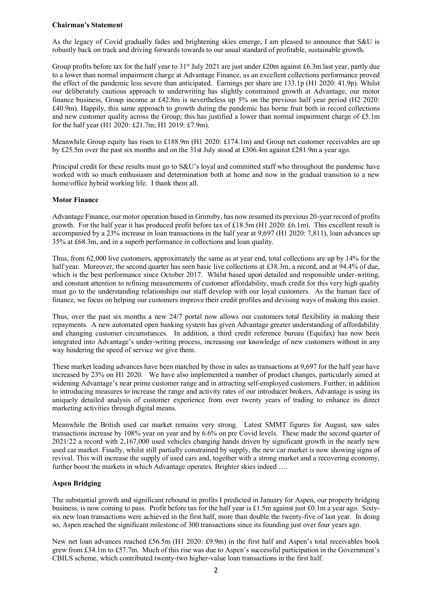## **Chairman's Statement**

As the legacy of Covid gradually fades and brightening skies emerge, I am pleased to announce that S&U is robustly back on track and driving forwards towards to our usual standard of profitable, sustainable growth.

Group profits before tax for the half year to 31<sup>st</sup> July 2021 are just under £20m against £6.3m last year, partly due to a lower than normal impairment charge at Advantage Finance, as an excellent collections performance proved the effect of the pandemic less severe than anticipated. Earnings per share are 133.1p (H1 2020: 41.9p). Whilst our deliberately cautious approach to underwriting has slightly constrained growth at Advantage, our motor finance business, Group income at £42.8m is nevertheless up 5% on the previous half year period (H2 2020: £40.9m). Happily, this same approach to growth during the pandemic has borne fruit both in record collections and new customer quality across the Group; this has justified a lower than normal impairment charge of  $£5.1m$ for the half year (H1 2020: £21.7m; H1 2019: £7.9m).

Meanwhile Group equity has risen to £188.9m (H1 2020: £174.1m) and Group net customer receivables are up by £25.5m over the past six months and on the 31st July stood at £306.4m against £281.9m a year ago.

Principal credit for these results must go to S&U's loyal and committed staff who throughout the pandemic have worked with so much enthusiasm and determination both at home and now in the gradual transition to a new home/office hybrid working life. I thank them all.

## **Motor Finance**

Advantage Finance, our motor operation based in Grimsby, has now resumed its previous 20-year record of profits growth. For the half year it has produced profit before tax of £18.5m (H1 2020: £6.1m). This excellent result is accompanied by a 23% increase in loan transactions in the half year at 9,697 (H1 2020: 7,811), loan advances up 35% at £68.3m, and in a superb performance in collections and loan quality.

Thus, from 62,000 live customers, approximately the same as at year end, total collections are up by 14% for the half year. Moreover, the second quarter has seen basic live collections at £38.3m, a record, and at 94.4% of due, which is the best performance since October 2017. Whilst based upon detailed and responsible under-writing, and constant attention to refining measurements of customer affordability, much credit for this very high quality must go to the understanding relationships our staff develop with our loyal customers. As the human face of finance, we focus on helping our customers improve their credit profiles and devising ways of making this easier.

Thus, over the past six months a new 24/7 portal now allows our customers total flexibility in making their repayments. A new automated open banking system has given Advantage greater understanding of affordability and changing customer circumstances. In addition, a third credit reference bureau (Equifax) has now been integrated into Advantage's under-writing process, increasing our knowledge of new customers without in any way hindering the speed of service we give them.

These market leading advances have been matched by those in sales as transactions at 9,697 for the half year have increased by 23% on H1 2020. We have also implemented a number of product changes, particularly aimed at widening Advantage's near prime customer range and in attracting self-employed customers. Further, in addition to introducing measures to increase the range and activity rates of our introducer brokers, Advantage is using its uniquely detailed analysis of customer experience from over twenty years of trading to enhance its direct marketing activities through digital means.

Meanwhile the British used car market remains very strong. Latest SMMT figures for August, saw sales transactions increase by 108% year on year and by 6.6% on pre Covid levels. These made the second quarter of 2021/22 a record with 2,167,000 used vehicles changing hands driven by significant growth in the nearly new used car market. Finally, whilst still partially constrained by supply, the new car market is now showing signs of revival. This will increase the supply of used cars and, together with a strong market and a recovering economy, further boost the markets in which Advantage operates. Brighter skies indeed ….

# **Aspen Bridging**

The substantial growth and significant rebound in profits I predicted in January for Aspen, our property bridging business, is now coming to pass. Profit before tax for the half year is £1.5m against just £0.1m a year ago. Sixtysix new loan transactions were achieved in the first half, more than double the twenty-five of last year. In doing so, Aspen reached the significant milestone of 300 transactions since its founding just over four years ago.

New net loan advances reached £56.5m (H1 2020: £9.9m) in the first half and Aspen's total receivables book grew from £34.1m to £57.7m. Much of this rise was due to Aspen's successful participation in the Government's CBILS scheme, which contributed twenty-two higher-value loan transactions in the first half.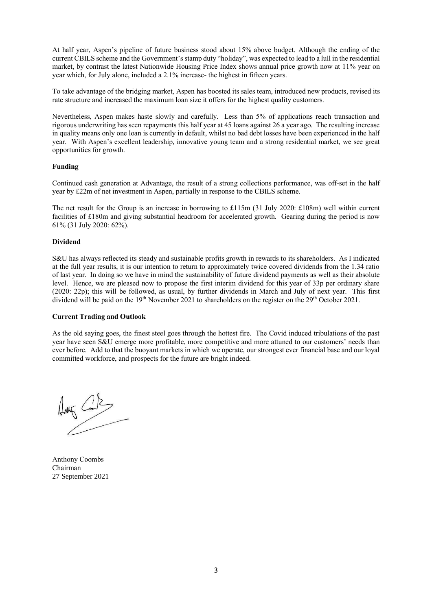At half year, Aspen's pipeline of future business stood about 15% above budget. Although the ending of the current CBILS scheme and the Government's stamp duty "holiday", was expected to lead to a lull in the residential market, by contrast the latest Nationwide Housing Price Index shows annual price growth now at 11% year on year which, for July alone, included a 2.1% increase- the highest in fifteen years.

To take advantage of the bridging market, Aspen has boosted its sales team, introduced new products, revised its rate structure and increased the maximum loan size it offers for the highest quality customers.

Nevertheless, Aspen makes haste slowly and carefully. Less than 5% of applications reach transaction and rigorous underwriting has seen repayments this half year at 45 loans against 26 a year ago. The resulting increase in quality means only one loan is currently in default, whilst no bad debt losses have been experienced in the half year. With Aspen's excellent leadership, innovative young team and a strong residential market, we see great opportunities for growth.

## **Funding**

Continued cash generation at Advantage, the result of a strong collections performance, was off-set in the half year by £22m of net investment in Aspen, partially in response to the CBILS scheme.

The net result for the Group is an increase in borrowing to £115m (31 July 2020: £108m) well within current facilities of £180m and giving substantial headroom for accelerated growth. Gearing during the period is now 61% (31 July 2020: 62%).

#### **Dividend**

S&U has always reflected its steady and sustainable profits growth in rewards to its shareholders. As I indicated at the full year results, it is our intention to return to approximately twice covered dividends from the 1.34 ratio of last year. In doing so we have in mind the sustainability of future dividend payments as well as their absolute level. Hence, we are pleased now to propose the first interim dividend for this year of 33p per ordinary share (2020: 22p); this will be followed, as usual, by further dividends in March and July of next year. This first dividend will be paid on the 19<sup>th</sup> November 2021 to shareholders on the register on the 29<sup>th</sup> October 2021.

#### **Current Trading and Outlook**

As the old saying goes, the finest steel goes through the hottest fire. The Covid induced tribulations of the past year have seen S&U emerge more profitable, more competitive and more attuned to our customers' needs than ever before. Add to that the buoyant markets in which we operate, our strongest ever financial base and our loyal committed workforce, and prospects for the future are bright indeed.

 $\frac{1}{\sqrt{2\pi}}\int_{0}^{\frac{\pi}{2}}\frac{1}{\sqrt{2\pi}}\left(1-\frac{1}{2}\right)dx$ 

Anthony Coombs Chairman 27 September 2021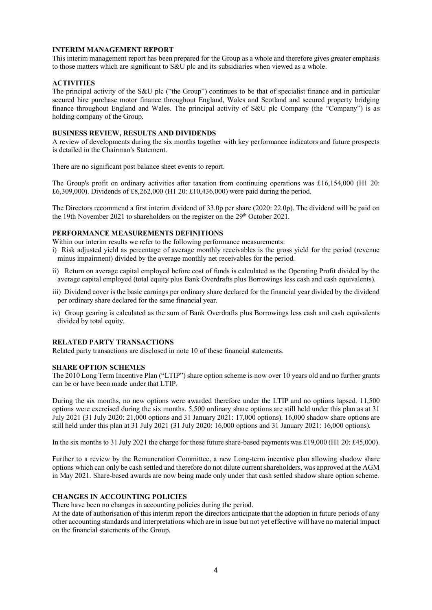# **INTERIM MANAGEMENT REPORT**

This interim management report has been prepared for the Group as a whole and therefore gives greater emphasis to those matters which are significant to S&U plc and its subsidiaries when viewed as a whole.

## **ACTIVITIES**

The principal activity of the S&U plc ("the Group") continues to be that of specialist finance and in particular secured hire purchase motor finance throughout England, Wales and Scotland and secured property bridging finance throughout England and Wales. The principal activity of S&U plc Company (the "Company") is as holding company of the Group.

### **BUSINESS REVIEW, RESULTS AND DIVIDENDS**

A review of developments during the six months together with key performance indicators and future prospects is detailed in the Chairman's Statement.

There are no significant post balance sheet events to report.

The Group's profit on ordinary activities after taxation from continuing operations was £16,154,000 (H1 20: £6,309,000). Dividends of £8,262,000 (H1 20: £10,436,000) were paid during the period.

The Directors recommend a first interim dividend of 33.0p per share (2020: 22.0p). The dividend will be paid on the 19th November 2021 to shareholders on the register on the 29<sup>th</sup> October 2021.

## **PERFORMANCE MEASUREMENTS DEFINITIONS**

Within our interim results we refer to the following performance measurements:

- i) Risk adjusted yield as percentage of average monthly receivables is the gross yield for the period (revenue minus impairment) divided by the average monthly net receivables for the period.
- ii) Return on average capital employed before cost of funds is calculated as the Operating Profit divided by the average capital employed (total equity plus Bank Overdrafts plus Borrowings less cash and cash equivalents).
- iii) Dividend cover is the basic earnings per ordinary share declared for the financial year divided by the dividend per ordinary share declared for the same financial year.
- iv) Group gearing is calculated as the sum of Bank Overdrafts plus Borrowings less cash and cash equivalents divided by total equity.

## **RELATED PARTY TRANSACTIONS**

Related party transactions are disclosed in note 10 of these financial statements.

#### **SHARE OPTION SCHEMES**

The 2010 Long Term Incentive Plan ("LTIP") share option scheme is now over 10 years old and no further grants can be or have been made under that LTIP.

During the six months, no new options were awarded therefore under the LTIP and no options lapsed. 11,500 options were exercised during the six months. 5,500 ordinary share options are still held under this plan as at 31 July 2021 (31 July 2020: 21,000 options and 31 January 2021: 17,000 options). 16,000 shadow share options are still held under this plan at 31 July 2021 (31 July 2020: 16,000 options and 31 January 2021: 16,000 options).

In the six months to 31 July 2021 the charge for these future share-based payments was £19,000 (H1 20: £45,000).

Further to a review by the Remuneration Committee, a new Long-term incentive plan allowing shadow share options which can only be cash settled and therefore do not dilute current shareholders, was approved at the AGM in May 2021. Share-based awards are now being made only under that cash settled shadow share option scheme.

# **CHANGES IN ACCOUNTING POLICIES**

There have been no changes in accounting policies during the period.

At the date of authorisation of this interim report the directors anticipate that the adoption in future periods of any other accounting standards and interpretations which are in issue but not yet effective will have no material impact on the financial statements of the Group.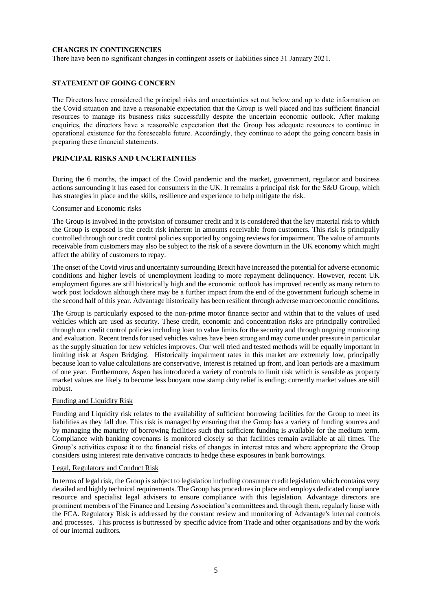# **CHANGES IN CONTINGENCIES**

There have been no significant changes in contingent assets or liabilities since 31 January 2021.

# **STATEMENT OF GOING CONCERN**

The Directors have considered the principal risks and uncertainties set out below and up to date information on the Covid situation and have a reasonable expectation that the Group is well placed and has sufficient financial resources to manage its business risks successfully despite the uncertain economic outlook. After making enquiries, the directors have a reasonable expectation that the Group has adequate resources to continue in operational existence for the foreseeable future. Accordingly, they continue to adopt the going concern basis in preparing these financial statements.

## **PRINCIPAL RISKS AND UNCERTAINTIES**

During the 6 months, the impact of the Covid pandemic and the market, government, regulator and business actions surrounding it has eased for consumers in the UK. It remains a principal risk for the S&U Group, which has strategies in place and the skills, resilience and experience to help mitigate the risk.

#### Consumer and Economic risks

The Group is involved in the provision of consumer credit and it is considered that the key material risk to which the Group is exposed is the credit risk inherent in amounts receivable from customers. This risk is principally controlled through our credit control policies supported by ongoing reviews for impairment. The value of amounts receivable from customers may also be subject to the risk of a severe downturn in the UK economy which might affect the ability of customers to repay.

The onset of the Covid virus and uncertainty surrounding Brexit have increased the potential for adverse economic conditions and higher levels of unemployment leading to more repayment delinquency. However, recent UK employment figures are still historically high and the economic outlook has improved recently as many return to work post lockdown although there may be a further impact from the end of the government furlough scheme in the second half of this year. Advantage historically has been resilient through adverse macroeconomic conditions.

The Group is particularly exposed to the non-prime motor finance sector and within that to the values of used vehicles which are used as security. These credit, economic and concentration risks are principally controlled through our credit control policies including loan to value limits for the security and through ongoing monitoring and evaluation. Recent trends for used vehicles values have been strong and may come under pressure in particular as the supply situation for new vehicles improves. Our well tried and tested methods will be equally important in limiting risk at Aspen Bridging. Historically impairment rates in this market are extremely low, principally because loan to value calculations are conservative, interest is retained up front, and loan periods are a maximum of one year. Furthermore, Aspen has introduced a variety of controls to limit risk which is sensible as property market values are likely to become less buoyant now stamp duty relief is ending; currently market values are still robust.

## Funding and Liquidity Risk

Funding and Liquidity risk relates to the availability of sufficient borrowing facilities for the Group to meet its liabilities as they fall due. This risk is managed by ensuring that the Group has a variety of funding sources and by managing the maturity of borrowing facilities such that sufficient funding is available for the medium term. Compliance with banking covenants is monitored closely so that facilities remain available at all times. The Group's activities expose it to the financial risks of changes in interest rates and where appropriate the Group considers using interest rate derivative contracts to hedge these exposures in bank borrowings.

## Legal, Regulatory and Conduct Risk

In terms of legal risk, the Group is subject to legislation including consumer credit legislation which contains very detailed and highly technical requirements. The Group has procedures in place and employs dedicated compliance resource and specialist legal advisers to ensure compliance with this legislation. Advantage directors are prominent members of the Finance and Leasing Association's committees and, through them, regularly liaise with the FCA. Regulatory Risk is addressed by the constant review and monitoring of Advantage's internal controls and processes. This process is buttressed by specific advice from Trade and other organisations and by the work of our internal auditors.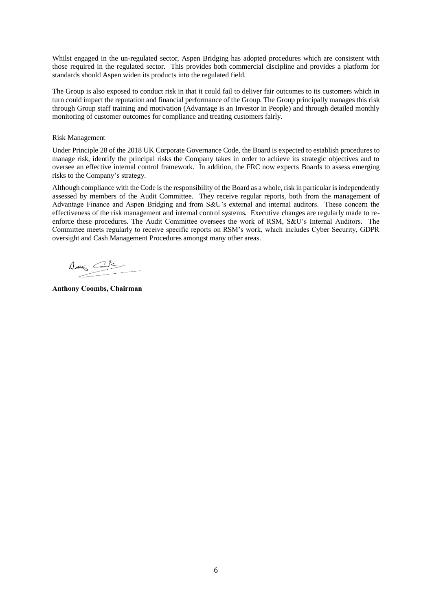Whilst engaged in the un-regulated sector, Aspen Bridging has adopted procedures which are consistent with those required in the regulated sector. This provides both commercial discipline and provides a platform for standards should Aspen widen its products into the regulated field.

The Group is also exposed to conduct risk in that it could fail to deliver fair outcomes to its customers which in turn could impact the reputation and financial performance of the Group. The Group principally manages this risk through Group staff training and motivation (Advantage is an Investor in People) and through detailed monthly monitoring of customer outcomes for compliance and treating customers fairly.

# Risk Management

Under Principle 28 of the 2018 UK Corporate Governance Code, the Board is expected to establish procedures to manage risk, identify the principal risks the Company takes in order to achieve its strategic objectives and to oversee an effective internal control framework. In addition, the FRC now expects Boards to assess emerging risks to the Company's strategy.

Although compliance with the Code is the responsibility of the Board as a whole, risk in particular is independently assessed by members of the Audit Committee. They receive regular reports, both from the management of Advantage Finance and Aspen Bridging and from S&U's external and internal auditors. These concern the effectiveness of the risk management and internal control systems. Executive changes are regularly made to reenforce these procedures. The Audit Committee oversees the work of RSM, S&U's Internal Auditors. The Committee meets regularly to receive specific reports on RSM's work, which includes Cyber Security, GDPR oversight and Cash Management Procedures amongst many other areas.

 $\begin{picture}(20,10) \put(0,0){\line(1,0){10}} \put(15,0){\line(1,0){10}} \put(15,0){\line(1,0){10}} \put(15,0){\line(1,0){10}} \put(15,0){\line(1,0){10}} \put(15,0){\line(1,0){10}} \put(15,0){\line(1,0){10}} \put(15,0){\line(1,0){10}} \put(15,0){\line(1,0){10}} \put(15,0){\line(1,0){10}} \put(15,0){\line(1,0){10}} \put(15,0){\line(1$ 

**Anthony Coombs, Chairman**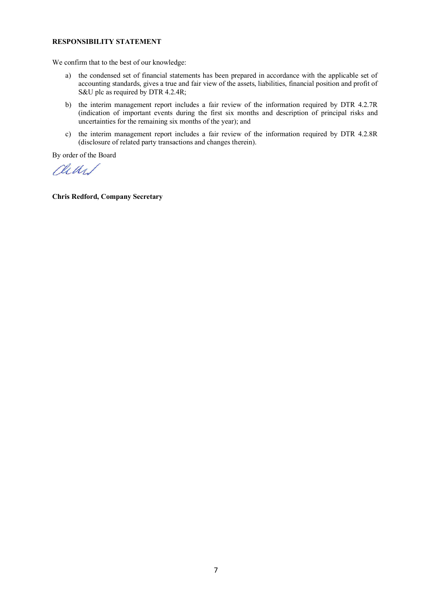# **RESPONSIBILITY STATEMENT**

We confirm that to the best of our knowledge:

- a) the condensed set of financial statements has been prepared in accordance with the applicable set of accounting standards, gives a true and fair view of the assets, liabilities, financial position and profit of S&U plc as required by DTR 4.2.4R;
- b) the interim management report includes a fair review of the information required by DTR 4.2.7R (indication of important events during the first six months and description of principal risks and uncertainties for the remaining six months of the year); and
- c) the interim management report includes a fair review of the information required by DTR 4.2.8R (disclosure of related party transactions and changes therein).

By order of the Board

rual

**Chris Redford, Company Secretary**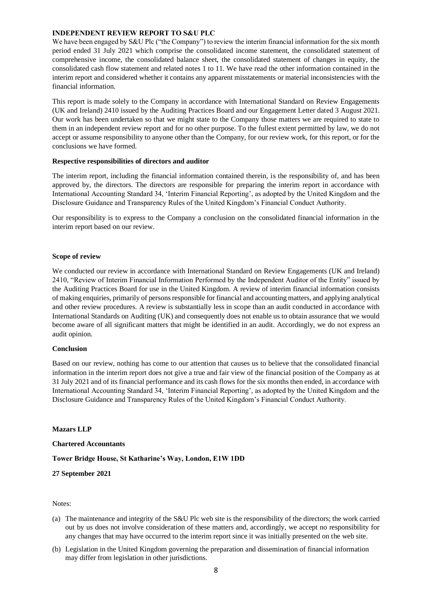## **INDEPENDENT REVIEW REPORT TO S&U PLC**

We have been engaged by S&U Plc ("the Company") to review the interim financial information for the six month period ended 31 July 2021 which comprise the consolidated income statement, the consolidated statement of comprehensive income, the consolidated balance sheet, the consolidated statement of changes in equity, the consolidated cash flow statement and related notes 1 to 11. We have read the other information contained in the interim report and considered whether it contains any apparent misstatements or material inconsistencies with the financial information.

This report is made solely to the Company in accordance with International Standard on Review Engagements (UK and Ireland) 2410 issued by the Auditing Practices Board and our Engagement Letter dated 3 August 2021. Our work has been undertaken so that we might state to the Company those matters we are required to state to them in an independent review report and for no other purpose. To the fullest extent permitted by law, we do not accept or assume responsibility to anyone other than the Company, for our review work, for this report, or for the conclusions we have formed.

## **Respective responsibilities of directors and auditor**

The interim report, including the financial information contained therein, is the responsibility of, and has been approved by, the directors. The directors are responsible for preparing the interim report in accordance with International Accounting Standard 34, 'Interim Financial Reporting', as adopted by the United Kingdom and the Disclosure Guidance and Transparency Rules of the United Kingdom's Financial Conduct Authority.

Our responsibility is to express to the Company a conclusion on the consolidated financial information in the interim report based on our review.

## **Scope of review**

We conducted our review in accordance with International Standard on Review Engagements (UK and Ireland) 2410, "Review of Interim Financial Information Performed by the Independent Auditor of the Entity" issued by the Auditing Practices Board for use in the United Kingdom. A review of interim financial information consists of making enquiries, primarily of persons responsible for financial and accounting matters, and applying analytical and other review procedures. A review is substantially less in scope than an audit conducted in accordance with International Standards on Auditing (UK) and consequently does not enable us to obtain assurance that we would become aware of all significant matters that might be identified in an audit. Accordingly, we do not express an audit opinion.

#### **Conclusion**

Based on our review, nothing has come to our attention that causes us to believe that the consolidated financial information in the interim report does not give a true and fair view of the financial position of the Company as at 31 July 2021 and of its financial performance and its cash flows for the six months then ended, in accordance with International Accounting Standard 34, 'Interim Financial Reporting', as adopted by the United Kingdom and the Disclosure Guidance and Transparency Rules of the United Kingdom's Financial Conduct Authority.

#### **Mazars LLP**

**Chartered Accountants** 

#### **Tower Bridge House, St Katharine's Way, London, E1W 1DD**

**27 September 2021** 

#### Notes:

- (a) The maintenance and integrity of the S&U Plc web site is the responsibility of the directors; the work carried out by us does not involve consideration of these matters and, accordingly, we accept no responsibility for any changes that may have occurred to the interim report since it was initially presented on the web site.
- (b) Legislation in the United Kingdom governing the preparation and dissemination of financial information may differ from legislation in other jurisdictions.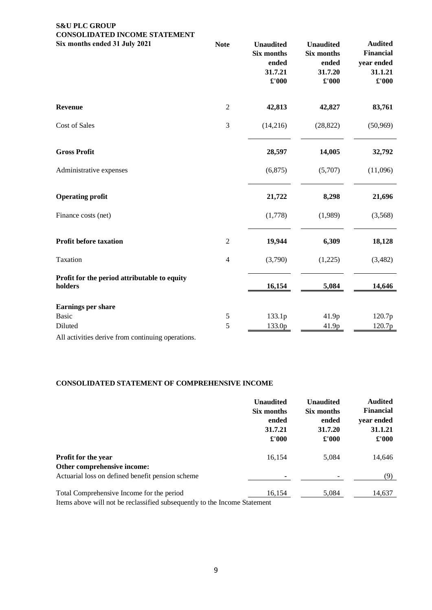# **S&U PLC GROUP CONSOLIDATED INCOME STATEMENT**

| Six months ended 31 July 2021                                                                                                                                                                                                     | <b>Note</b>    | <b>Unaudited</b><br><b>Six months</b><br>ended<br>31.7.21<br>£'000 | <b>Unaudited</b><br>Six months<br>ended<br>31.7.20<br>£'000 | <b>Audited</b><br><b>Financial</b><br>year ended<br>31.1.21<br>$\pounds 000$ |
|-----------------------------------------------------------------------------------------------------------------------------------------------------------------------------------------------------------------------------------|----------------|--------------------------------------------------------------------|-------------------------------------------------------------|------------------------------------------------------------------------------|
| <b>Revenue</b>                                                                                                                                                                                                                    | $\overline{2}$ | 42,813                                                             | 42,827                                                      | 83,761                                                                       |
| Cost of Sales                                                                                                                                                                                                                     | 3              | (14,216)                                                           | (28, 822)                                                   | (50, 969)                                                                    |
| <b>Gross Profit</b>                                                                                                                                                                                                               |                | 28,597                                                             | 14,005                                                      | 32,792                                                                       |
| Administrative expenses                                                                                                                                                                                                           |                | (6, 875)                                                           | (5,707)                                                     | (11,096)                                                                     |
| <b>Operating profit</b>                                                                                                                                                                                                           |                | 21,722                                                             | 8,298                                                       | 21,696                                                                       |
| Finance costs (net)                                                                                                                                                                                                               |                | (1,778)                                                            | (1,989)                                                     | (3,568)                                                                      |
| Profit before taxation                                                                                                                                                                                                            | $\sqrt{2}$     | 19,944                                                             | 6,309                                                       | 18,128                                                                       |
| Taxation                                                                                                                                                                                                                          | $\overline{4}$ | (3,790)                                                            | (1,225)                                                     | (3,482)                                                                      |
| Profit for the period attributable to equity<br>holders                                                                                                                                                                           |                | 16,154                                                             | 5,084                                                       | 14,646                                                                       |
| <b>Earnings per share</b>                                                                                                                                                                                                         |                |                                                                    |                                                             |                                                                              |
| <b>Basic</b>                                                                                                                                                                                                                      | $\mathfrak s$  | 133.1p                                                             | 41.9p                                                       | 120.7p                                                                       |
| Diluted                                                                                                                                                                                                                           | 5              | 133.0p                                                             | 41.9p                                                       | 120.7p                                                                       |
| $\mathbf{r}$ , and the second properties of the second second properties of the second second second second second second second second second second second second second second second second second second second second secon |                |                                                                    |                                                             |                                                                              |

All activities derive from continuing operations.

# **CONSOLIDATED STATEMENT OF COMPREHENSIVE INCOME**

|                                                                           | <b>Unaudited</b><br>Six months<br>ended<br>31.7.21<br>$\pounds 000$ | <b>Unaudited</b><br>Six months<br>ended<br>31.7.20<br>$\pounds 000$ | <b>Audited</b><br><b>Financial</b><br>year ended<br>31.1.21<br>$\pounds 000$ |
|---------------------------------------------------------------------------|---------------------------------------------------------------------|---------------------------------------------------------------------|------------------------------------------------------------------------------|
| Profit for the year                                                       | 16,154                                                              | 5,084                                                               | 14,646                                                                       |
| Other comprehensive income:                                               |                                                                     |                                                                     |                                                                              |
| Actuarial loss on defined benefit pension scheme                          | ۰                                                                   |                                                                     | (9)                                                                          |
| Total Comprehensive Income for the period                                 | 16,154                                                              | 5,084                                                               | 14,637                                                                       |
| Items above will not be reclossified subsequently to the Income Statement |                                                                     |                                                                     |                                                                              |

Items above will not be reclassified subsequently to the Income Statement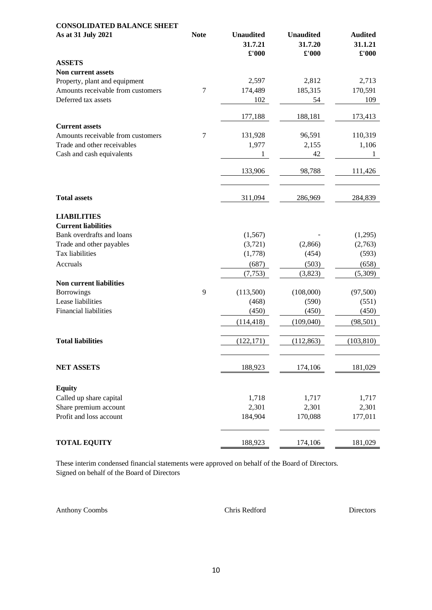| <b>CONSOLIDATED BALANCE SHEET</b>                                |             |                                      |                                      |                                                   |
|------------------------------------------------------------------|-------------|--------------------------------------|--------------------------------------|---------------------------------------------------|
| As at 31 July 2021                                               | <b>Note</b> | <b>Unaudited</b><br>31.7.21<br>£'000 | <b>Unaudited</b><br>31.7.20<br>£'000 | <b>Audited</b><br>31.1.21<br>$\pmb{\pounds}$ '000 |
| <b>ASSETS</b>                                                    |             |                                      |                                      |                                                   |
| Non current assets                                               |             |                                      |                                      |                                                   |
| Property, plant and equipment                                    |             | 2,597                                | 2,812                                | 2,713                                             |
| Amounts receivable from customers                                | 7           | 174,489                              | 185,315                              | 170,591                                           |
| Deferred tax assets                                              |             | 102                                  | 54                                   | 109                                               |
|                                                                  |             | 177,188                              | 188,181                              | 173,413                                           |
| <b>Current assets</b>                                            |             |                                      |                                      |                                                   |
| Amounts receivable from customers<br>Trade and other receivables | 7           | 131,928<br>1,977                     | 96,591<br>2,155                      | 110,319<br>1,106                                  |
| Cash and cash equivalents                                        |             | 1                                    | 42                                   | 1                                                 |
|                                                                  |             | 133,906                              | 98,788                               | 111,426                                           |
|                                                                  |             |                                      |                                      |                                                   |
| <b>Total assets</b>                                              |             | 311,094                              | 286,969                              | 284,839                                           |
| <b>LIABILITIES</b><br><b>Current liabilities</b>                 |             |                                      |                                      |                                                   |
| Bank overdrafts and loans                                        |             | (1, 567)                             |                                      | (1,295)                                           |
| Trade and other payables                                         |             | (3,721)                              | (2,866)                              | (2,763)                                           |
| Tax liabilities                                                  |             | (1,778)                              | (454)                                | (593)                                             |
| Accruals                                                         |             | (687)                                | (503)                                | (658)                                             |
|                                                                  |             | (7, 753)                             | (3,823)                              | (5,309)                                           |
| <b>Non current liabilities</b>                                   |             |                                      |                                      |                                                   |
| <b>Borrowings</b>                                                | 9           | (113,500)                            | (108,000)                            | (97, 500)                                         |
| Lease liabilities                                                |             | (468)                                | (590)                                | (551)                                             |
| <b>Financial liabilities</b>                                     |             | (450)                                | (450)                                | (450)                                             |
|                                                                  |             | (114, 418)                           | (109, 040)                           | (98, 501)                                         |
| <b>Total liabilities</b>                                         |             | (122, 171)                           | (112, 863)                           | (103, 810)                                        |
| <b>NET ASSETS</b>                                                |             | 188,923                              | 174,106                              | 181,029                                           |
| <b>Equity</b>                                                    |             |                                      |                                      |                                                   |
| Called up share capital                                          |             | 1,718                                | 1,717                                | 1,717                                             |
| Share premium account                                            |             | 2,301                                | 2,301                                | 2,301                                             |
| Profit and loss account                                          |             | 184,904                              | 170,088                              | 177,011                                           |
| <b>TOTAL EQUITY</b>                                              |             | 188,923                              | 174,106                              | 181,029                                           |

These interim condensed financial statements were approved on behalf of the Board of Directors. Signed on behalf of the Board of Directors

Anthony Coombs Chris Redford Directors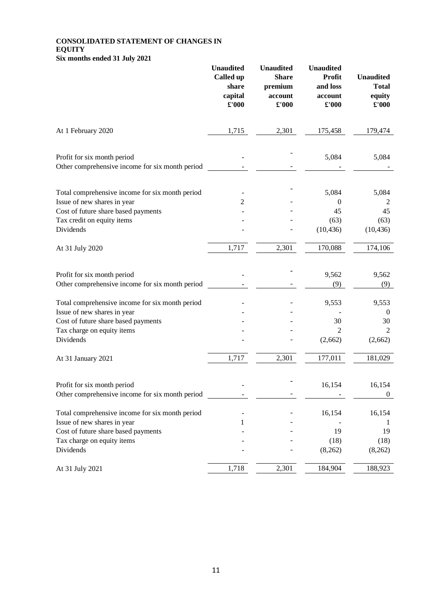# **CONSOLIDATED STATEMENT OF CHANGES IN EQUITY Six months ended 31 July 2021**

|                                                                                                                                                                  | <b>Unaudited</b><br>Called up<br>share<br>capital<br>£'000 | <b>Unaudited</b><br><b>Share</b><br>premium<br>account<br>£'000 | <b>Unaudited</b><br>Profit<br>and loss<br>account<br>£'000 | <b>Unaudited</b><br><b>Total</b><br>equity<br>$\pounds 000$ |
|------------------------------------------------------------------------------------------------------------------------------------------------------------------|------------------------------------------------------------|-----------------------------------------------------------------|------------------------------------------------------------|-------------------------------------------------------------|
| At 1 February 2020                                                                                                                                               | 1,715                                                      | 2,301                                                           | 175,458                                                    | 179,474                                                     |
| Profit for six month period<br>Other comprehensive income for six month period                                                                                   |                                                            |                                                                 | 5,084                                                      | 5,084                                                       |
| Total comprehensive income for six month period<br>Issue of new shares in year<br>Cost of future share based payments<br>Tax credit on equity items<br>Dividends | 2                                                          |                                                                 | 5,084<br>$\boldsymbol{0}$<br>45<br>(63)<br>(10, 436)       | 5,084<br>$\overline{c}$<br>45<br>(63)<br>(10, 436)          |
| At 31 July 2020                                                                                                                                                  | 1,717                                                      | 2,301                                                           | 170,088                                                    | 174,106                                                     |
| Profit for six month period<br>Other comprehensive income for six month period                                                                                   |                                                            |                                                                 | 9,562<br>(9)                                               | 9,562<br>(9)                                                |
| Total comprehensive income for six month period<br>Issue of new shares in year<br>Cost of future share based payments<br>Tax charge on equity items<br>Dividends |                                                            |                                                                 | 9,553<br>30<br>$\overline{2}$<br>(2,662)                   | 9,553<br>$\boldsymbol{0}$<br>30<br>2<br>(2,662)             |
| At 31 January 2021                                                                                                                                               | 1,717                                                      | 2,301                                                           | 177,011                                                    | 181,029                                                     |
| Profit for six month period<br>Other comprehensive income for six month period                                                                                   |                                                            |                                                                 | 16,154                                                     | 16,154<br>$\boldsymbol{0}$                                  |
| Total comprehensive income for six month period<br>Issue of new shares in year<br>Cost of future share based payments<br>Tax charge on equity items<br>Dividends | 1                                                          |                                                                 | 16,154<br>19<br>(18)<br>(8,262)                            | 16,154<br>$\perp$<br>19<br>(18)<br>(8,262)                  |
| At 31 July 2021                                                                                                                                                  | 1,718                                                      | 2,301                                                           | 184,904                                                    | 188,923                                                     |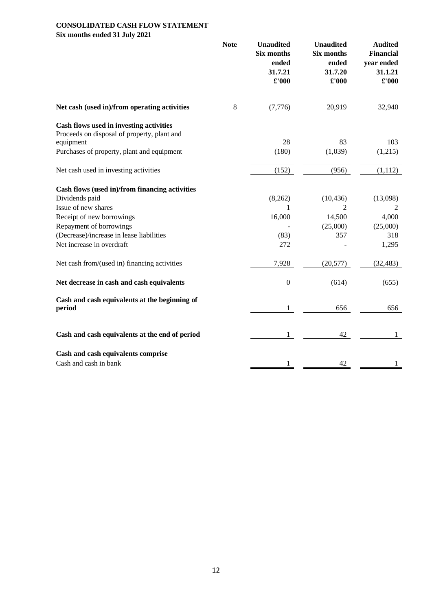# **CONSOLIDATED CASH FLOW STATEMENT Six months ended 31 July 2021**

|                                                         | <b>Note</b> | <b>Unaudited</b><br><b>Six months</b><br>ended<br>31.7.21<br>$\pounds 000$ | <b>Unaudited</b><br><b>Six months</b><br>ended<br>31.7.20<br>£'000 | <b>Audited</b><br><b>Financial</b><br>year ended<br>31.1.21<br>$\pounds 000$ |
|---------------------------------------------------------|-------------|----------------------------------------------------------------------------|--------------------------------------------------------------------|------------------------------------------------------------------------------|
| Net cash (used in)/from operating activities            | 8           | (7,776)                                                                    | 20,919                                                             | 32,940                                                                       |
| Cash flows used in investing activities                 |             |                                                                            |                                                                    |                                                                              |
| Proceeds on disposal of property, plant and             |             |                                                                            |                                                                    |                                                                              |
| equipment                                               |             | 28                                                                         | 83                                                                 | 103                                                                          |
| Purchases of property, plant and equipment              |             | (180)                                                                      | (1,039)                                                            | (1,215)                                                                      |
| Net cash used in investing activities                   |             | (152)                                                                      | (956)                                                              | (1,112)                                                                      |
| Cash flows (used in)/from financing activities          |             |                                                                            |                                                                    |                                                                              |
| Dividends paid                                          |             | (8,262)                                                                    | (10, 436)                                                          | (13,098)                                                                     |
| Issue of new shares                                     |             | $\mathbf{1}$                                                               | 2                                                                  | 2                                                                            |
| Receipt of new borrowings                               |             | 16,000                                                                     | 14,500                                                             | 4,000                                                                        |
| Repayment of borrowings                                 |             |                                                                            | (25,000)                                                           | (25,000)                                                                     |
| (Decrease)/increase in lease liabilities                |             | (83)                                                                       | 357                                                                | 318                                                                          |
| Net increase in overdraft                               |             | 272                                                                        |                                                                    | 1,295                                                                        |
| Net cash from/(used in) financing activities            |             | 7,928                                                                      | (20, 577)                                                          | (32, 483)                                                                    |
| Net decrease in cash and cash equivalents               |             | $\boldsymbol{0}$                                                           | (614)                                                              | (655)                                                                        |
| Cash and cash equivalents at the beginning of<br>period |             | 1                                                                          | 656                                                                | 656                                                                          |
| Cash and cash equivalents at the end of period          |             | 1                                                                          | 42                                                                 |                                                                              |
| Cash and cash equivalents comprise                      |             |                                                                            |                                                                    |                                                                              |
| Cash and cash in bank                                   |             |                                                                            | 42                                                                 |                                                                              |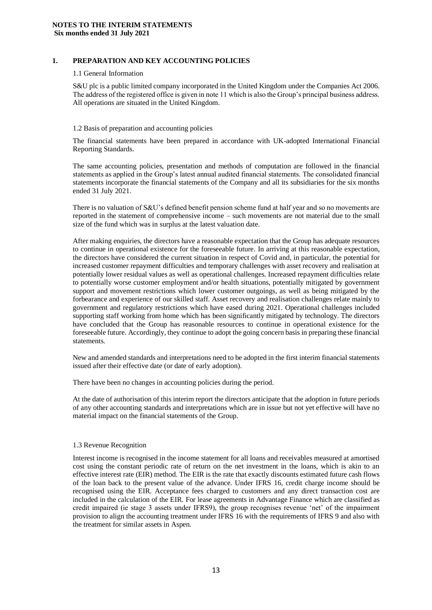# **1. PREPARATION AND KEY ACCOUNTING POLICIES**

#### 1.1 General Information

S&U plc is a public limited company incorporated in the United Kingdom under the Companies Act 2006. The address of the registered office is given in note 11 which is also the Group's principal business address. All operations are situated in the United Kingdom.

#### 1.2 Basis of preparation and accounting policies

The financial statements have been prepared in accordance with UK-adopted International Financial Reporting Standards.

The same accounting policies, presentation and methods of computation are followed in the financial statements as applied in the Group's latest annual audited financial statements. The consolidated financial statements incorporate the financial statements of the Company and all its subsidiaries for the six months ended 31 July 2021.

There is no valuation of S&U's defined benefit pension scheme fund at half year and so no movements are reported in the statement of comprehensive income – such movements are not material due to the small size of the fund which was in surplus at the latest valuation date.

After making enquiries, the directors have a reasonable expectation that the Group has adequate resources to continue in operational existence for the foreseeable future. In arriving at this reasonable expectation, the directors have considered the current situation in respect of Covid and, in particular, the potential for increased customer repayment difficulties and temporary challenges with asset recovery and realisation at potentially lower residual values as well as operational challenges. Increased repayment difficulties relate to potentially worse customer employment and/or health situations, potentially mitigated by government support and movement restrictions which lower customer outgoings, as well as being mitigated by the forbearance and experience of our skilled staff. Asset recovery and realisation challenges relate mainly to government and regulatory restrictions which have eased during 2021. Operational challenges included supporting staff working from home which has been significantly mitigated by technology. The directors have concluded that the Group has reasonable resources to continue in operational existence for the foreseeable future. Accordingly, they continue to adopt the going concern basis in preparing these financial statements.

New and amended standards and interpretations need to be adopted in the first interim financial statements issued after their effective date (or date of early adoption).

There have been no changes in accounting policies during the period.

At the date of authorisation of this interim report the directors anticipate that the adoption in future periods of any other accounting standards and interpretations which are in issue but not yet effective will have no material impact on the financial statements of the Group.

#### 1.3 Revenue Recognition

Interest income is recognised in the income statement for all loans and receivables measured at amortised cost using the constant periodic rate of return on the net investment in the loans, which is akin to an effective interest rate (EIR) method. The EIR is the rate that exactly discounts estimated future cash flows of the loan back to the present value of the advance. Under IFRS 16, credit charge income should be recognised using the EIR. Acceptance fees charged to customers and any direct transaction cost are included in the calculation of the EIR. For lease agreements in Advantage Finance which are classified as credit impaired (ie stage 3 assets under IFRS9), the group recognises revenue 'net' of the impairment provision to align the accounting treatment under IFRS 16 with the requirements of IFRS 9 and also with the treatment for similar assets in Aspen.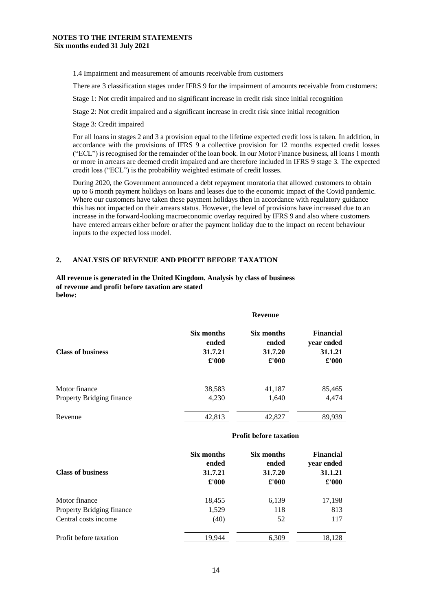1.4 Impairment and measurement of amounts receivable from customers

There are 3 classification stages under IFRS 9 for the impairment of amounts receivable from customers:

Stage 1: Not credit impaired and no significant increase in credit risk since initial recognition

Stage 2: Not credit impaired and a significant increase in credit risk since initial recognition

Stage 3: Credit impaired

For all loans in stages 2 and 3 a provision equal to the lifetime expected credit loss is taken. In addition, in accordance with the provisions of IFRS 9 a collective provision for 12 months expected credit losses ("ECL") is recognised for the remainder of the loan book. In our Motor Finance business, all loans 1 month or more in arrears are deemed credit impaired and are therefore included in IFRS 9 stage 3. The expected credit loss ("ECL") is the probability weighted estimate of credit losses.

During 2020, the Government announced a debt repayment moratoria that allowed customers to obtain up to 6 month payment holidays on loans and leases due to the economic impact of the Covid pandemic. Where our customers have taken these payment holidays then in accordance with regulatory guidance this has not impacted on their arrears status. However, the level of provisions have increased due to an increase in the forward-looking macroeconomic overlay required by IFRS 9 and also where customers have entered arrears either before or after the payment holiday due to the impact on recent behaviour inputs to the expected loss model.

# **2. ANALYSIS OF REVENUE AND PROFIT BEFORE TAXATION**

## **All revenue is generated in the United Kingdom. Analysis by class of business of revenue and profit before taxation are stated below:**

|                           | <b>Revenue</b> |               |                  |  |  |
|---------------------------|----------------|---------------|------------------|--|--|
| <b>Class of business</b>  | Six months     | Six months    | <b>Financial</b> |  |  |
|                           | ended          | ended         | year ended       |  |  |
|                           | 31.7.21        | 31.7.20       | 31.1.21          |  |  |
|                           | $\pounds 000$  | $\pounds 000$ | $\pounds 000$    |  |  |
| Motor finance             | 38,583         | 41,187        | 85,465           |  |  |
| Property Bridging finance | 4,230          | 1,640         | 4,474            |  |  |
| Revenue                   | 42,813         | 42,827        | 89,939           |  |  |

#### **Profit before taxation**

| <b>Class of business</b>  | Six months<br>ended<br>31.7.21<br>£'000 | Six months<br>ended<br>31.7.20<br>$\pounds 000$ | <b>Financial</b><br>year ended<br>31.1.21<br>$\pounds 000$ |
|---------------------------|-----------------------------------------|-------------------------------------------------|------------------------------------------------------------|
| Motor finance             | 18,455                                  | 6,139                                           | 17,198                                                     |
| Property Bridging finance | 1,529                                   | 118                                             | 813                                                        |
| Central costs income      | (40)                                    | 52                                              | 117                                                        |
| Profit before taxation    | 19.944                                  | 6,309                                           | 18.128                                                     |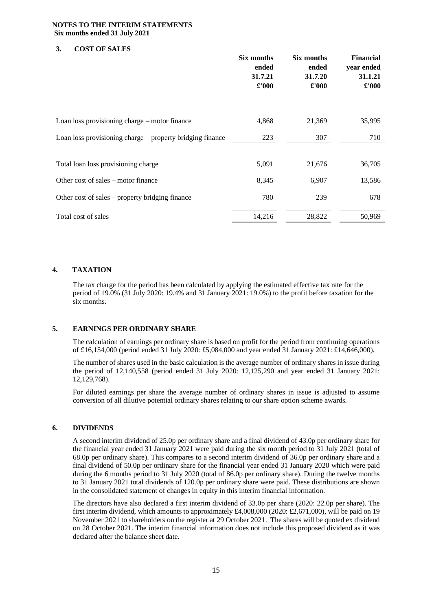# **NOTES TO THE INTERIM STATEMENTS Six months ended 31 July 2021**

# **3. COST OF SALES**

|                                                           | Six months<br>ended<br>31.7.21<br>£'000 | Six months<br>ended<br>31.7.20<br>£'000 | <b>Financial</b><br>year ended<br>31.1.21<br>£'000 |
|-----------------------------------------------------------|-----------------------------------------|-----------------------------------------|----------------------------------------------------|
| Loan loss provisioning charge – motor finance             | 4,868                                   | 21,369                                  | 35,995                                             |
| Loan loss provisioning charge – property bridging finance | 223                                     | 307                                     | 710                                                |
| Total loan loss provisioning charge                       | 5,091                                   | 21,676                                  | 36,705                                             |
| Other cost of sales – motor finance                       | 8,345                                   | 6,907                                   | 13,586                                             |
| Other cost of sales – property bridging finance           | 780                                     | 239                                     | 678                                                |
| Total cost of sales                                       | 14,216                                  | 28,822                                  | 50,969                                             |

# **4. TAXATION**

The tax charge for the period has been calculated by applying the estimated effective tax rate for the period of 19.0% (31 July 2020: 19.4% and 31 January 2021: 19.0%) to the profit before taxation for the six months.

# **5. EARNINGS PER ORDINARY SHARE**

The calculation of earnings per ordinary share is based on profit for the period from continuing operations of £16,154,000 (period ended 31 July 2020: £5,084,000 and year ended 31 January 2021: £14,646,000).

The number of shares used in the basic calculation is the average number of ordinary shares in issue during the period of 12,140,558 (period ended 31 July 2020: 12,125,290 and year ended 31 January 2021: 12,129,768).

For diluted earnings per share the average number of ordinary shares in issue is adjusted to assume conversion of all dilutive potential ordinary shares relating to our share option scheme awards.

# **6. DIVIDENDS**

A second interim dividend of 25.0p per ordinary share and a final dividend of 43.0p per ordinary share for the financial year ended 31 January 2021 were paid during the six month period to 31 July 2021 (total of 68.0p per ordinary share). This compares to a second interim dividend of 36.0p per ordinary share and a final dividend of 50.0p per ordinary share for the financial year ended 31 January 2020 which were paid during the 6 months period to 31 July 2020 (total of 86.0p per ordinary share). During the twelve months to 31 January 2021 total dividends of 120.0p per ordinary share were paid. These distributions are shown in the consolidated statement of changes in equity in this interim financial information.

The directors have also declared a first interim dividend of 33.0p per share (2020: 22.0p per share). The first interim dividend, which amounts to approximately £4,008,000 (2020: £2,671,000), will be paid on 19 November 2021 to shareholders on the register at 29 October 2021. The shares will be quoted ex dividend on 28 October 2021. The interim financial information does not include this proposed dividend as it was declared after the balance sheet date.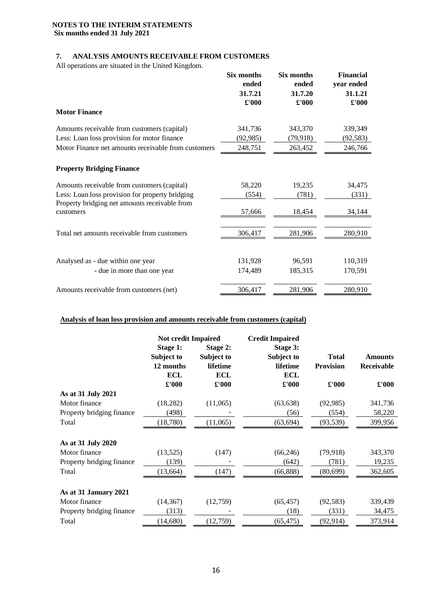# **NOTES TO THE INTERIM STATEMENTS Six months ended 31 July 2021**

# **7. ANALYSIS AMOUNTS RECEIVABLE FROM CUSTOMERS**

All operations are situated in the United Kingdom.

|                                                            | Six months<br>ended<br>31.7.21<br>£'000 | Six months<br>ended<br>31.7.20<br>$\pounds 000$ | <b>Financial</b><br>year ended<br>31.1.21<br>$\pmb{\pounds}$ '000 |
|------------------------------------------------------------|-----------------------------------------|-------------------------------------------------|-------------------------------------------------------------------|
| <b>Motor Finance</b>                                       |                                         |                                                 |                                                                   |
| Amounts receivable from customers (capital)                | 341,736                                 | 343,370                                         | 339,349                                                           |
| Less: Loan loss provision for motor finance                | (92, 985)                               | (79,918)                                        | (92, 583)                                                         |
| Motor Finance net amounts receivable from customers        | 248,751                                 | 263,452                                         | 246,766                                                           |
| <b>Property Bridging Finance</b>                           |                                         |                                                 |                                                                   |
| Amounts receivable from customers (capital)                | 58,220                                  | 19,235                                          | 34,475                                                            |
| Less: Loan loss provision for property bridging            | (554)                                   | (781)                                           | (331)                                                             |
| Property bridging net amounts receivable from<br>customers | 57,666                                  | 18,454                                          | 34,144                                                            |
|                                                            |                                         |                                                 |                                                                   |
| Total net amounts receivable from customers                | 306,417                                 | 281,906                                         | 280,910                                                           |
|                                                            |                                         |                                                 |                                                                   |
| Analysed as - due within one year                          | 131,928                                 | 96,591                                          | 110,319                                                           |
| - due in more than one year                                | 174,489                                 | 185,315                                         | 170,591                                                           |
| Amounts receivable from customers (net)                    | 306,417                                 | 281,906                                         | 280,910                                                           |

# **Analysis of loan loss provision and amounts receivable from customers (capital)**

|                           | <b>Not credit Impaired</b>                 |                                    | <b>Credit Impaired</b>             |                                  |                                     |
|---------------------------|--------------------------------------------|------------------------------------|------------------------------------|----------------------------------|-------------------------------------|
|                           | <b>Stage 1:</b><br>Subject to<br>12 months | Stage 2:<br>Subject to<br>lifetime | Stage 3:<br>Subject to<br>lifetime | <b>Total</b><br><b>Provision</b> | <b>Amounts</b><br><b>Receivable</b> |
|                           | <b>ECL</b>                                 | <b>ECL</b>                         | <b>ECL</b>                         |                                  |                                     |
|                           | £'000                                      | £'000                              | £'000                              | £'000                            | $\pmb{\pounds}$ '000                |
| As at 31 July 2021        |                                            |                                    |                                    |                                  |                                     |
| Motor finance             | (18, 282)                                  | (11,065)                           | (63, 638)                          | (92, 985)                        | 341,736                             |
| Property bridging finance | (498)                                      |                                    | (56)                               | (554)                            | 58,220                              |
| Total                     | (18,780)                                   | (11,065)                           | (63, 694)                          | (93, 539)                        | 399,956                             |
| As at 31 July 2020        |                                            |                                    |                                    |                                  |                                     |
| Motor finance             | (13,525)                                   | (147)                              | (66, 246)                          | (79, 918)                        | 343,370                             |
| Property bridging finance | (139)                                      |                                    | (642)                              | (781)                            | 19,235                              |
| Total                     | (13, 664)                                  | (147)                              | (66, 888)                          | (80, 699)                        | 362,605                             |
| As at 31 January 2021     |                                            |                                    |                                    |                                  |                                     |
| Motor finance             | (14, 367)                                  | (12,759)                           | (65, 457)                          | (92, 583)                        | 339,439                             |
| Property bridging finance | (313)                                      |                                    | (18)                               | (331)                            | 34,475                              |
| Total                     | (14,680)                                   | (12,759)                           | (65, 475)                          | (92, 914)                        | 373,914                             |